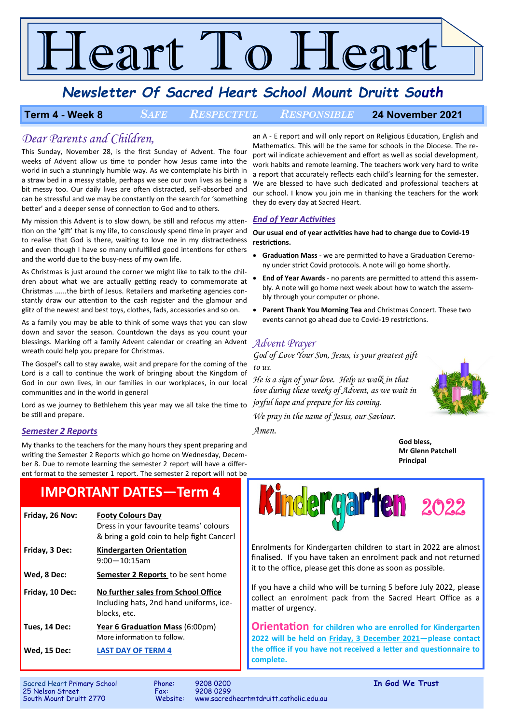# $\epsilon$ art To F leart

# *Newsletter Of Sacred Heart School Mount Druitt South*

### **Term 4 - Week 8** *SAFE RESPECTFUL RESPONSIBLE* **24 November 2021**

### *Dear Parents and Children,*

This Sunday, November 28, is the first Sunday of Advent. The four weeks of Advent allow us time to ponder how Jesus came into the world in such a stunningly humble way. As we contemplate his birth in a straw bed in a messy stable, perhaps we see our own lives as being a bit messy too. Our daily lives are often distracted, self-absorbed and can be stressful and we may be constantly on the search for 'something better' and a deeper sense of connection to God and to others.

My mission this Advent is to slow down, be still and refocus my attention on the 'gift' that is my life, to consciously spend time in prayer and to realise that God is there, waiting to love me in my distractedness and even though I have so many unfulfilled good intentions for others and the world due to the busy-ness of my own life.

As Christmas is just around the corner we might like to talk to the children about what we are actually getting ready to commemorate at Christmas ......the birth of Jesus. Retailers and marketing agencies constantly draw our attention to the cash register and the glamour and glitz of the newest and best toys, clothes, fads, accessories and so on.

As a family you may be able to think of some ways that you can slow down and savor the season. Countdown the days as you count your blessings. Marking off a family Advent calendar or creating an Advent *Advent Prayer* wreath could help you prepare for Christmas.

The Gospel's call to stay awake, wait and prepare for the coming of the Lord is a call to continue the work of bringing about the Kingdom of God in our own lives, in our families in our workplaces, in our local communities and in the world in general

Lord as we journey to Bethlehem this year may we all take the time to be still and prepare.

### *Semester 2 Reports*

My thanks to the teachers for the many hours they spent preparing and writing the Semester 2 Reports which go home on Wednesday, December 8. Due to remote learning the semester 2 report will have a different format to the semester 1 report. The semester 2 report will not be

# **IMPORTANT DATES—Term 4**

| Friday, 26 Nov: | <b>Footy Colours Day</b><br>Dress in your favourite teams' colours<br>& bring a gold coin to help fight Cancer! |
|-----------------|-----------------------------------------------------------------------------------------------------------------|
| Friday, 3 Dec:  | Kindergarten Orientation<br>$9:00-10:15$ am                                                                     |
| Wed, 8 Dec:     | <b>Semester 2 Reports</b> to be sent home                                                                       |
|                 |                                                                                                                 |
| Friday, 10 Dec: | No further sales from School Office<br>Including hats, 2nd hand uniforms, ice-<br>blocks, etc.                  |
| Tues, 14 Dec:   | Year 6 Graduation Mass (6:00pm)<br>More information to follow.                                                  |

an A - E report and will only report on Religious Education, English and Mathematics. This will be the same for schools in the Diocese. The report wil indicate achievement and effort as well as social development, work habits and remote learning. The teachers work very hard to write a report that accurately reflects each child's learning for the semester. We are blessed to have such dedicated and professional teachers at our school. I know you join me in thanking the teachers for the work they do every day at Sacred Heart.

### *End of Year Activities*

**Our usual end of year activities have had to change due to Covid-19 restrictions.**

- **Graduation Mass**  we are permitted to have a Graduation Ceremony under strict Covid protocols. A note will go home shortly.
- **End of Year Awards**  no parents are permitted to attend this assembly. A note will go home next week about how to watch the assembly through your computer or phone.
- **Parent Thank You Morning Tea** and Christmas Concert. These two events cannot go ahead due to Covid-19 restrictions.

*God of Love Your Son, Jesus, is your greatest gift to us.* 

*He is a sign of your love. Help us walk in that love during these weeks of Advent, as we wait in joyful hope and prepare for his coming.* 

*We pray in the name of Jesus, our Saviour.* 

*Amen.* 



**God bless, Mr Glenn Patchell Principal**



Enrolments for Kindergarten children to start in 2022 are almost finalised. If you have taken an enrolment pack and not returned it to the office, please get this done as soon as possible.

If you have a child who will be turning 5 before July 2022, please collect an enrolment pack from the Sacred Heart Office as a matter of urgency.

**Orientation for children who are enrolled for Kindergarten 2022 will be held on Friday, 3 December 2021—please contact the office if you have not received a letter and questionnaire to complete.** 

25 Nelson Street<br>South Mount Druitt 2770

Sacred Heart Primary School Phone: 9208 0200 **In God We Trust** www.sacredheartmtdruitt.catholic.edu.au